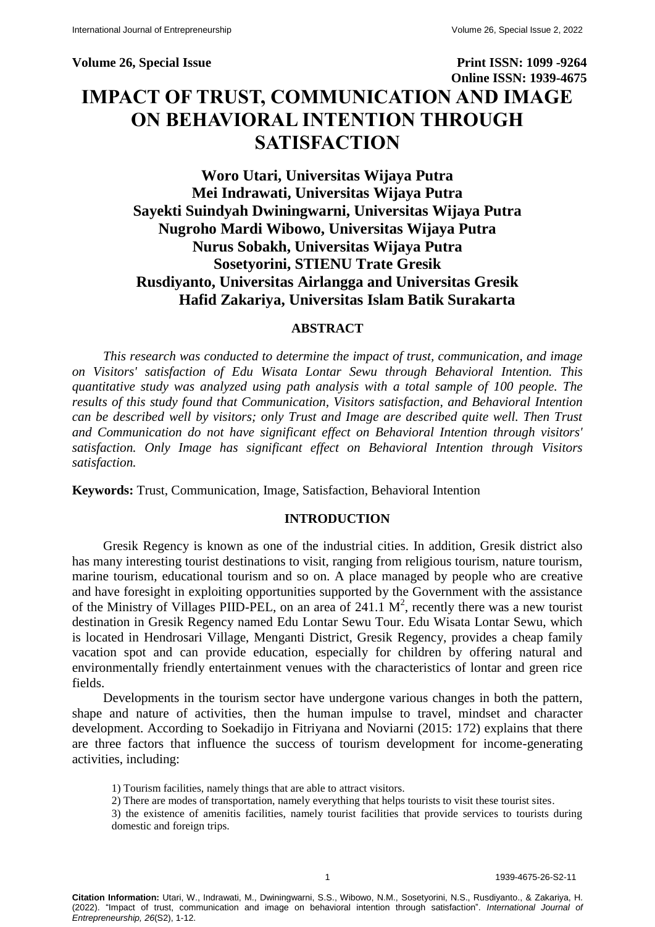**Volume 26, Special Issue Print ISSN: 1099 -9264 Online ISSN: 1939-4675 IMPACT OF TRUST, COMMUNICATION AND IMAGE ON BEHAVIORAL INTENTION THROUGH SATISFACTION**

# **Woro Utari, Universitas Wijaya Putra Mei Indrawati, Universitas Wijaya Putra Sayekti Suindyah Dwiningwarni, Universitas Wijaya Putra Nugroho Mardi Wibowo, Universitas Wijaya Putra Nurus Sobakh, Universitas Wijaya Putra Sosetyorini, STIENU Trate Gresik Rusdiyanto, Universitas Airlangga and Universitas Gresik Hafid Zakariya, Universitas Islam Batik Surakarta**

## **ABSTRACT**

*This research was conducted to determine the impact of trust, communication, and image on Visitors' satisfaction of Edu Wisata Lontar Sewu through Behavioral Intention. This quantitative study was analyzed using path analysis with a total sample of 100 people. The results of this study found that Communication, Visitors satisfaction, and Behavioral Intention can be described well by visitors; only Trust and Image are described quite well. Then Trust and Communication do not have significant effect on Behavioral Intention through visitors' satisfaction. Only Image has significant effect on Behavioral Intention through Visitors satisfaction.*

**Keywords:** Trust, Communication, Image, Satisfaction, Behavioral Intention

## **INTRODUCTION**

Gresik Regency is known as one of the industrial cities. In addition, Gresik district also has many interesting tourist destinations to visit, ranging from religious tourism, nature tourism, marine tourism, educational tourism and so on. A place managed by people who are creative and have foresight in exploiting opportunities supported by the Government with the assistance of the Ministry of Villages PIID-PEL, on an area of 241.1  $M^2$ , recently there was a new tourist destination in Gresik Regency named Edu Lontar Sewu Tour. Edu Wisata Lontar Sewu, which is located in Hendrosari Village, Menganti District, Gresik Regency, provides a cheap family vacation spot and can provide education, especially for children by offering natural and environmentally friendly entertainment venues with the characteristics of lontar and green rice fields.

Developments in the tourism sector have undergone various changes in both the pattern, shape and nature of activities, then the human impulse to travel, mindset and character development. According to Soekadijo in Fitriyana and Noviarni (2015: 172) explains that there are three factors that influence the success of tourism development for income-generating activities, including:

1) Tourism facilities, namely things that are able to attract visitors.

2) There are modes of transportation, namely everything that helps tourists to visit these tourist sites.

3) the existence of amenitis facilities, namely tourist facilities that provide services to tourists during domestic and foreign trips.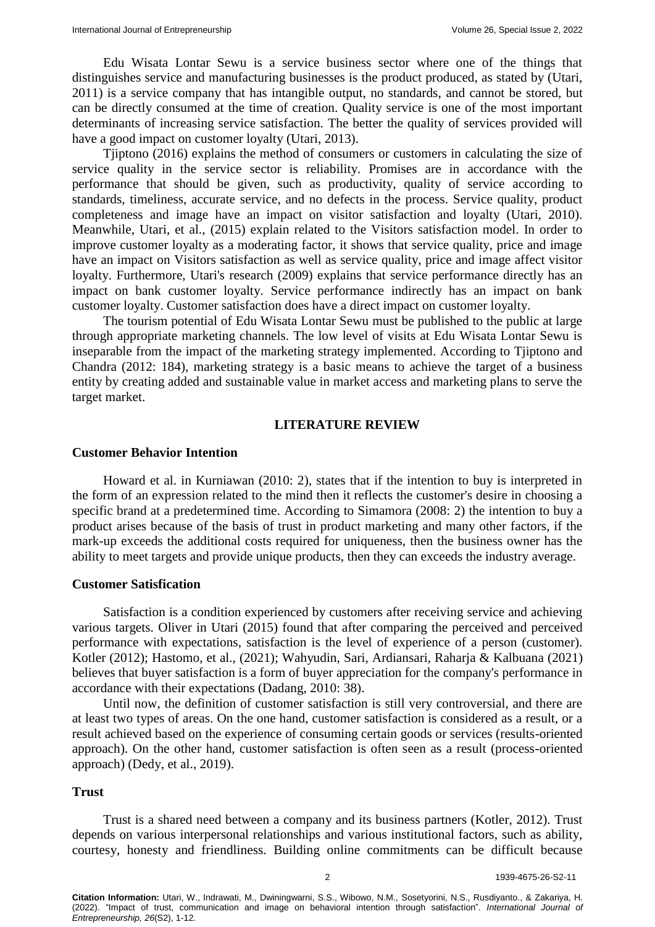Edu Wisata Lontar Sewu is a service business sector where one of the things that distinguishes service and manufacturing businesses is the product produced, as stated by (Utari, 2011) is a service company that has intangible output, no standards, and cannot be stored, but can be directly consumed at the time of creation. Quality service is one of the most important determinants of increasing service satisfaction. The better the quality of services provided will have a good impact on customer loyalty (Utari, 2013).

Tiiptono (2016) explains the method of consumers or customers in calculating the size of service quality in the service sector is reliability. Promises are in accordance with the performance that should be given, such as productivity, quality of service according to standards, timeliness, accurate service, and no defects in the process. Service quality, product completeness and image have an impact on visitor satisfaction and loyalty (Utari, 2010). Meanwhile, Utari, et al., (2015) explain related to the Visitors satisfaction model. In order to improve customer loyalty as a moderating factor, it shows that service quality, price and image have an impact on Visitors satisfaction as well as service quality, price and image affect visitor loyalty. Furthermore, Utari's research (2009) explains that service performance directly has an impact on bank customer loyalty. Service performance indirectly has an impact on bank customer loyalty. Customer satisfaction does have a direct impact on customer loyalty.

The tourism potential of Edu Wisata Lontar Sewu must be published to the public at large through appropriate marketing channels. The low level of visits at Edu Wisata Lontar Sewu is inseparable from the impact of the marketing strategy implemented. According to Tjiptono and Chandra (2012: 184), marketing strategy is a basic means to achieve the target of a business entity by creating added and sustainable value in market access and marketing plans to serve the target market.

#### **LITERATURE REVIEW**

## **Customer Behavior Intention**

Howard et al. in Kurniawan (2010: 2), states that if the intention to buy is interpreted in the form of an expression related to the mind then it reflects the customer's desire in choosing a specific brand at a predetermined time. According to Simamora (2008: 2) the intention to buy a product arises because of the basis of trust in product marketing and many other factors, if the mark-up exceeds the additional costs required for uniqueness, then the business owner has the ability to meet targets and provide unique products, then they can exceeds the industry average.

## **Customer Satisfication**

Satisfaction is a condition experienced by customers after receiving service and achieving various targets. Oliver in Utari (2015) found that after comparing the perceived and perceived performance with expectations, satisfaction is the level of experience of a person (customer). Kotler (2012); Hastomo, et al., (2021); Wahyudin, Sari, Ardiansari, Raharja & Kalbuana (2021) believes that buyer satisfaction is a form of buyer appreciation for the company's performance in accordance with their expectations (Dadang, 2010: 38).

Until now, the definition of customer satisfaction is still very controversial, and there are at least two types of areas. On the one hand, customer satisfaction is considered as a result, or a result achieved based on the experience of consuming certain goods or services (results-oriented approach). On the other hand, customer satisfaction is often seen as a result (process-oriented approach) (Dedy, et al., 2019).

#### **Trust**

Trust is a shared need between a company and its business partners (Kotler, 2012). Trust depends on various interpersonal relationships and various institutional factors, such as ability, courtesy, honesty and friendliness. Building online commitments can be difficult because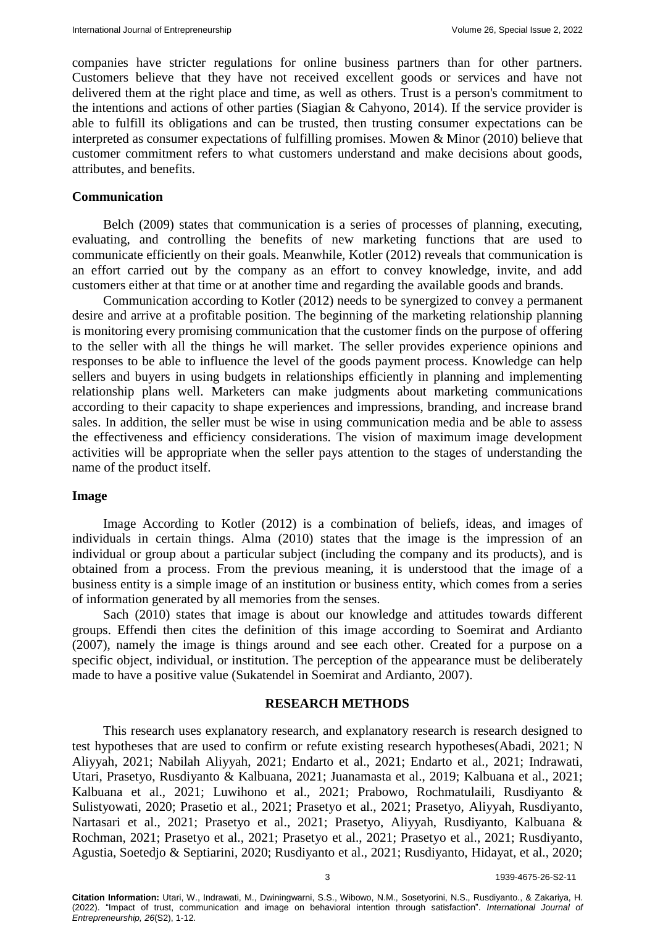companies have stricter regulations for online business partners than for other partners. Customers believe that they have not received excellent goods or services and have not delivered them at the right place and time, as well as others. Trust is a person's commitment to the intentions and actions of other parties (Siagian & Cahyono, 2014). If the service provider is able to fulfill its obligations and can be trusted, then trusting consumer expectations can be interpreted as consumer expectations of fulfilling promises. Mowen & Minor (2010) believe that customer commitment refers to what customers understand and make decisions about goods, attributes, and benefits.

#### **Communication**

Belch (2009) states that communication is a series of processes of planning, executing, evaluating, and controlling the benefits of new marketing functions that are used to communicate efficiently on their goals. Meanwhile, Kotler (2012) reveals that communication is an effort carried out by the company as an effort to convey knowledge, invite, and add customers either at that time or at another time and regarding the available goods and brands.

Communication according to Kotler (2012) needs to be synergized to convey a permanent desire and arrive at a profitable position. The beginning of the marketing relationship planning is monitoring every promising communication that the customer finds on the purpose of offering to the seller with all the things he will market. The seller provides experience opinions and responses to be able to influence the level of the goods payment process. Knowledge can help sellers and buyers in using budgets in relationships efficiently in planning and implementing relationship plans well. Marketers can make judgments about marketing communications according to their capacity to shape experiences and impressions, branding, and increase brand sales. In addition, the seller must be wise in using communication media and be able to assess the effectiveness and efficiency considerations. The vision of maximum image development activities will be appropriate when the seller pays attention to the stages of understanding the name of the product itself.

#### **Image**

Image According to Kotler (2012) is a combination of beliefs, ideas, and images of individuals in certain things. Alma (2010) states that the image is the impression of an individual or group about a particular subject (including the company and its products), and is obtained from a process. From the previous meaning, it is understood that the image of a business entity is a simple image of an institution or business entity, which comes from a series of information generated by all memories from the senses.

Sach (2010) states that image is about our knowledge and attitudes towards different groups. Effendi then cites the definition of this image according to Soemirat and Ardianto (2007), namely the image is things around and see each other. Created for a purpose on a specific object, individual, or institution. The perception of the appearance must be deliberately made to have a positive value (Sukatendel in Soemirat and Ardianto, 2007).

## **RESEARCH METHODS**

This research uses explanatory research, and explanatory research is research designed to test hypotheses that are used to confirm or refute existing research hypotheses(Abadi, 2021; N Aliyyah, 2021; Nabilah Aliyyah, 2021; Endarto et al., 2021; Endarto et al., 2021; Indrawati, Utari, Prasetyo, Rusdiyanto & Kalbuana, 2021; Juanamasta et al., 2019; Kalbuana et al., 2021; Kalbuana et al., 2021; Luwihono et al., 2021; Prabowo, Rochmatulaili, Rusdiyanto & Sulistyowati, 2020; Prasetio et al., 2021; Prasetyo et al., 2021; Prasetyo, Aliyyah, Rusdiyanto, Nartasari et al., 2021; Prasetyo et al., 2021; Prasetyo, Aliyyah, Rusdiyanto, Kalbuana & Rochman, 2021; Prasetyo et al., 2021; Prasetyo et al., 2021; Prasetyo et al., 2021; Rusdiyanto, Agustia, Soetedjo & Septiarini, 2020; Rusdiyanto et al., 2021; Rusdiyanto, Hidayat, et al., 2020;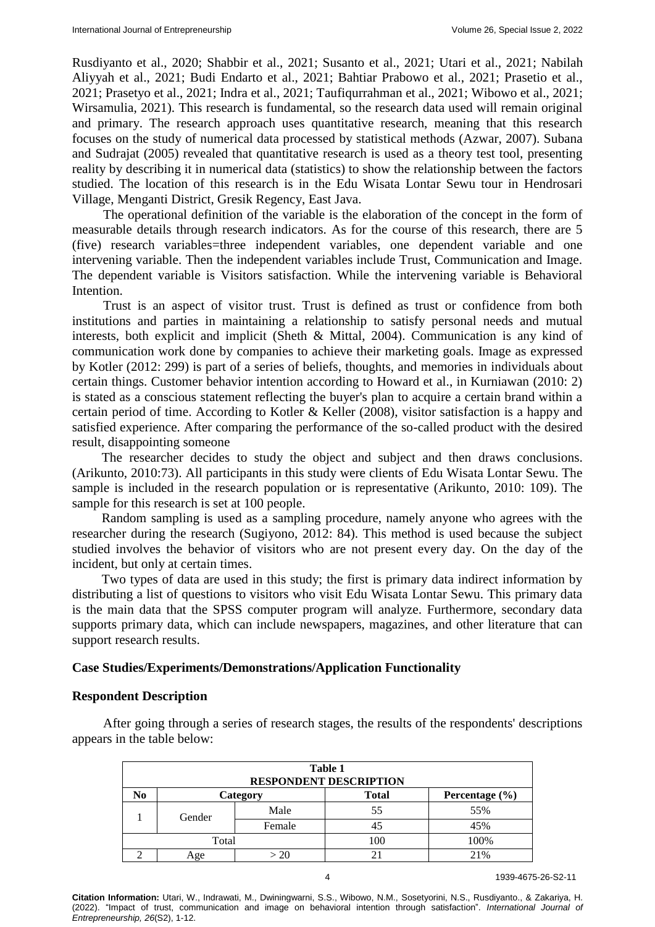Rusdiyanto et al., 2020; Shabbir et al., 2021; Susanto et al., 2021; Utari et al., 2021; Nabilah Aliyyah et al., 2021; Budi Endarto et al., 2021; Bahtiar Prabowo et al., 2021; Prasetio et al., 2021; Prasetyo et al., 2021; Indra et al., 2021; Taufiqurrahman et al., 2021; Wibowo et al., 2021; Wirsamulia, 2021). This research is fundamental, so the research data used will remain original and primary. The research approach uses quantitative research, meaning that this research focuses on the study of numerical data processed by statistical methods (Azwar, 2007). Subana and Sudrajat (2005) revealed that quantitative research is used as a theory test tool, presenting reality by describing it in numerical data (statistics) to show the relationship between the factors studied. The location of this research is in the Edu Wisata Lontar Sewu tour in Hendrosari Village, Menganti District, Gresik Regency, East Java.

The operational definition of the variable is the elaboration of the concept in the form of measurable details through research indicators. As for the course of this research, there are 5 (five) research variables=three independent variables, one dependent variable and one intervening variable. Then the independent variables include Trust, Communication and Image. The dependent variable is Visitors satisfaction. While the intervening variable is Behavioral Intention.

Trust is an aspect of visitor trust. Trust is defined as trust or confidence from both institutions and parties in maintaining a relationship to satisfy personal needs and mutual interests, both explicit and implicit (Sheth & Mittal, 2004). Communication is any kind of communication work done by companies to achieve their marketing goals. Image as expressed by Kotler (2012: 299) is part of a series of beliefs, thoughts, and memories in individuals about certain things. Customer behavior intention according to Howard et al., in Kurniawan (2010: 2) is stated as a conscious statement reflecting the buyer's plan to acquire a certain brand within a certain period of time. According to Kotler & Keller (2008), visitor satisfaction is a happy and satisfied experience. After comparing the performance of the so-called product with the desired result, disappointing someone

The researcher decides to study the object and subject and then draws conclusions. (Arikunto, 2010:73). All participants in this study were clients of Edu Wisata Lontar Sewu. The sample is included in the research population or is representative (Arikunto, 2010: 109). The sample for this research is set at 100 people.

Random sampling is used as a sampling procedure, namely anyone who agrees with the researcher during the research (Sugiyono, 2012: 84). This method is used because the subject studied involves the behavior of visitors who are not present every day. On the day of the incident, but only at certain times.

Two types of data are used in this study; the first is primary data indirect information by distributing a list of questions to visitors who visit Edu Wisata Lontar Sewu. This primary data is the main data that the SPSS computer program will analyze. Furthermore, secondary data supports primary data, which can include newspapers, magazines, and other literature that can support research results.

#### **Case Studies/Experiments/Demonstrations/Application Functionality**

#### **Respondent Description**

After going through a series of research stages, the results of the respondents' descriptions appears in the table below:

| Table 1<br><b>RESPONDENT DESCRIPTION</b> |        |          |              |                    |  |  |
|------------------------------------------|--------|----------|--------------|--------------------|--|--|
| No                                       |        | Category | <b>Total</b> | Percentage $(\% )$ |  |  |
|                                          | Gender | Male     | 55           | 55%                |  |  |
|                                          |        | Female   | 45           | 45%                |  |  |
| Total                                    |        |          | 100          | 100%               |  |  |
|                                          | .oe    | >20      | 21           | 21%                |  |  |

4 1939-4675-26-S2-11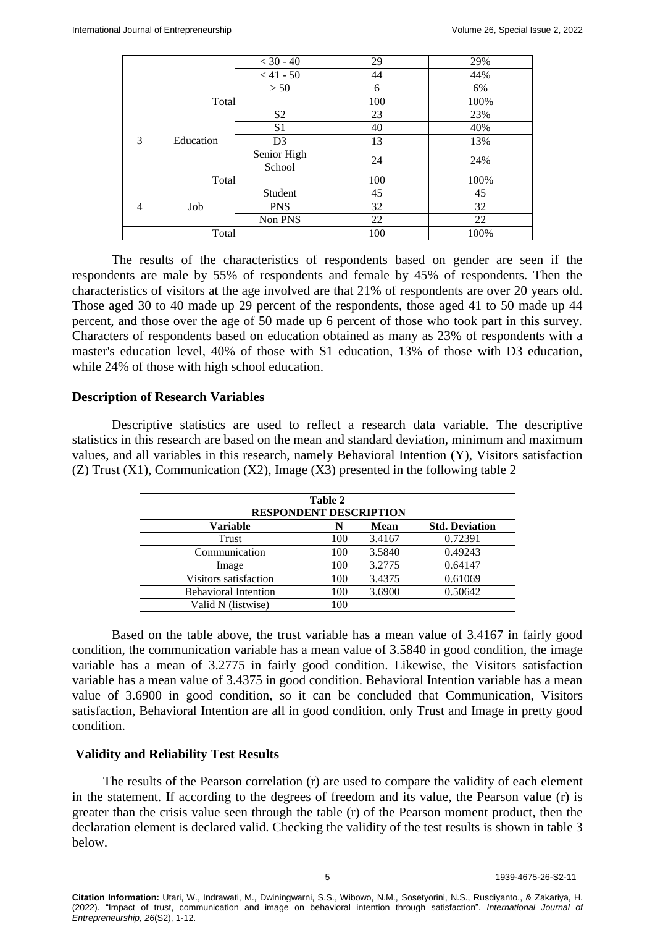|       |           | $< 30 - 40$           | 29   | 29%  |
|-------|-----------|-----------------------|------|------|
|       |           | $< 41 - 50$           | 44   | 44%  |
|       |           | > 50                  | 6    | 6%   |
| Total |           | 100                   | 100% |      |
|       |           | S <sub>2</sub>        | 23   | 23%  |
|       | Education | S <sub>1</sub>        | 40   | 40%  |
| 3     |           | D <sub>3</sub>        | 13   | 13%  |
|       |           | Senior High<br>School | 24   | 24%  |
|       | Total     |                       | 100  | 100% |
|       |           | Student               | 45   | 45   |
| 4     | Job       | <b>PNS</b>            | 32   | 32   |
|       |           | Non PNS               | 22   | 22   |
| Total |           |                       | 100  | 100% |

The results of the characteristics of respondents based on gender are seen if the respondents are male by 55% of respondents and female by 45% of respondents. Then the characteristics of visitors at the age involved are that 21% of respondents are over 20 years old. Those aged 30 to 40 made up 29 percent of the respondents, those aged 41 to 50 made up 44 percent, and those over the age of 50 made up 6 percent of those who took part in this survey. Characters of respondents based on education obtained as many as 23% of respondents with a master's education level, 40% of those with S1 education, 13% of those with D3 education, while 24% of those with high school education.

## **Description of Research Variables**

Descriptive statistics are used to reflect a research data variable. The descriptive statistics in this research are based on the mean and standard deviation, minimum and maximum values, and all variables in this research, namely Behavioral Intention (Y), Visitors satisfaction (Z) Trust (X1), Communication (X2), Image (X3) presented in the following table 2

| Table 2<br><b>RESPONDENT DESCRIPTION</b> |     |             |                       |  |  |  |
|------------------------------------------|-----|-------------|-----------------------|--|--|--|
| <b>Variable</b>                          | N   | <b>Mean</b> | <b>Std. Deviation</b> |  |  |  |
| Trust                                    | 100 | 3.4167      | 0.72391               |  |  |  |
| Communication                            | 100 | 3.5840      | 0.49243               |  |  |  |
| Image                                    | 100 | 3.2775      | 0.64147               |  |  |  |
| Visitors satisfaction                    | 100 | 3.4375      | 0.61069               |  |  |  |
| <b>Behavioral Intention</b>              | 100 | 3.6900      | 0.50642               |  |  |  |
| Valid N (listwise)                       | 100 |             |                       |  |  |  |

Based on the table above, the trust variable has a mean value of 3.4167 in fairly good condition, the communication variable has a mean value of 3.5840 in good condition, the image variable has a mean of 3.2775 in fairly good condition. Likewise, the Visitors satisfaction variable has a mean value of 3.4375 in good condition. Behavioral Intention variable has a mean value of 3.6900 in good condition, so it can be concluded that Communication, Visitors satisfaction, Behavioral Intention are all in good condition. only Trust and Image in pretty good condition.

## **Validity and Reliability Test Results**

The results of the Pearson correlation (r) are used to compare the validity of each element in the statement. If according to the degrees of freedom and its value, the Pearson value (r) is greater than the crisis value seen through the table (r) of the Pearson moment product, then the declaration element is declared valid. Checking the validity of the test results is shown in table 3 below.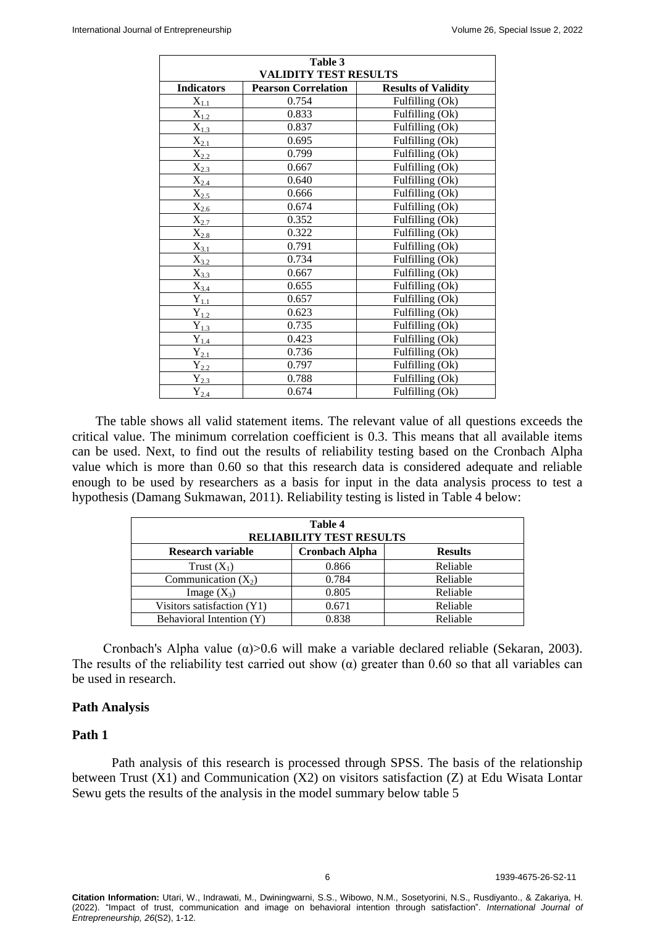| Table 3                        |                            |                              |  |  |  |  |  |
|--------------------------------|----------------------------|------------------------------|--|--|--|--|--|
| <b>VALIDITY TEST RESULTS</b>   |                            |                              |  |  |  |  |  |
| <b>Indicators</b>              | <b>Pearson Correlation</b> | <b>Results of Validity</b>   |  |  |  |  |  |
| $X_{1.1}$                      | 0.754                      | Fulfilling (Ok)              |  |  |  |  |  |
| $\overline{X}_{1.2}$           | 0.833                      | Fulfilling (Ok)              |  |  |  |  |  |
| $\overline{X}_{1.3}$           | 0.837                      | Fulfilling (Ok)              |  |  |  |  |  |
| $\overline{X}_{2.1}$           | 0.695                      | Fulfilling (Ok)              |  |  |  |  |  |
| $X_{2,2}$                      | 0.799                      | Fulfilling (Ok)              |  |  |  |  |  |
| $X_{2.3}$                      | 0.667                      | Fulfilling (Ok)              |  |  |  |  |  |
| $\mathbf{X}_{2,\underline{4}}$ | 0.640                      | Fulfilling (Ok)              |  |  |  |  |  |
| $X_{2.5}$                      | 0.666                      | Fulfilling (Ok)              |  |  |  |  |  |
| $\overline{X}_{2.6}$           | 0.674                      | Fulfilling (Ok)              |  |  |  |  |  |
| $\overline{X}_{2.7}$           | 0.352                      | Fulfilling (Ok)              |  |  |  |  |  |
| $\overline{X_{2.8}}$           | 0.322                      | Fulfilling (Ok)              |  |  |  |  |  |
| $\mathbf{X}_{3.1}$             | 0.791                      | Fulfilling (Ok)              |  |  |  |  |  |
| $X_{3.2}$                      | 0.734                      | Fulfilling (Ok)              |  |  |  |  |  |
| $X_{3.3}$                      | 0.667                      | $\overline{Fulfilling}$ (Ok) |  |  |  |  |  |
| $X_{3.4}$                      | 0.655                      | Fulfilling (Ok)              |  |  |  |  |  |
| $\mathbf{Y}_{1.1}$             | 0.657                      | Fulfilling (Ok)              |  |  |  |  |  |
| $\overline{Y_{1.2}}$           | 0.623                      | Fulfilling (Ok)              |  |  |  |  |  |
| $\mathbf{Y}_{1.3}$             | 0.735                      | Fulfilling (Ok)              |  |  |  |  |  |
| $\mathbf{Y}_{1.4}$             | 0.423                      | Fulfilling (Ok)              |  |  |  |  |  |
| $\mathbf{Y}_{2,\underline{1}}$ | 0.736                      | Fulfilling (Ok)              |  |  |  |  |  |
| $\mathbf{Y}_{2.2}$             | 0.797                      | Fulfilling (Ok)              |  |  |  |  |  |
| $Y_{2.3}$                      | 0.788                      | Fulfilling (Ok)              |  |  |  |  |  |
| $Y_{2.4}$                      | 0.674                      | Fulfilling (Ok)              |  |  |  |  |  |

The table shows all valid statement items. The relevant value of all questions exceeds the critical value. The minimum correlation coefficient is 0.3. This means that all available items can be used. Next, to find out the results of reliability testing based on the Cronbach Alpha value which is more than 0.60 so that this research data is considered adequate and reliable enough to be used by researchers as a basis for input in the data analysis process to test a hypothesis (Damang Sukmawan, 2011). Reliability testing is listed in Table 4 below:

| Table 4<br><b>RELIABILITY TEST RESULTS</b> |                                         |          |  |  |  |  |
|--------------------------------------------|-----------------------------------------|----------|--|--|--|--|
| Research variable                          | <b>Cronbach Alpha</b><br><b>Results</b> |          |  |  |  |  |
| Trust $(X_1)$                              | 0.866                                   | Reliable |  |  |  |  |
| Communication $(X_2)$                      | 0.784                                   | Reliable |  |  |  |  |
| Image $(X_3)$                              | 0.805                                   | Reliable |  |  |  |  |
| Visitors satisfaction (Y1)                 | 0.671                                   | Reliable |  |  |  |  |
| Behavioral Intention (Y)                   | 0.838                                   | Reliable |  |  |  |  |

Cronbach's Alpha value  $(\alpha)$ >0.6 will make a variable declared reliable (Sekaran, 2003). The results of the reliability test carried out show  $(\alpha)$  greater than 0.60 so that all variables can be used in research.

## **Path Analysis**

#### **Path 1**

Path analysis of this research is processed through SPSS. The basis of the relationship between Trust (X1) and Communication (X2) on visitors satisfaction (Z) at Edu Wisata Lontar Sewu gets the results of the analysis in the model summary below table 5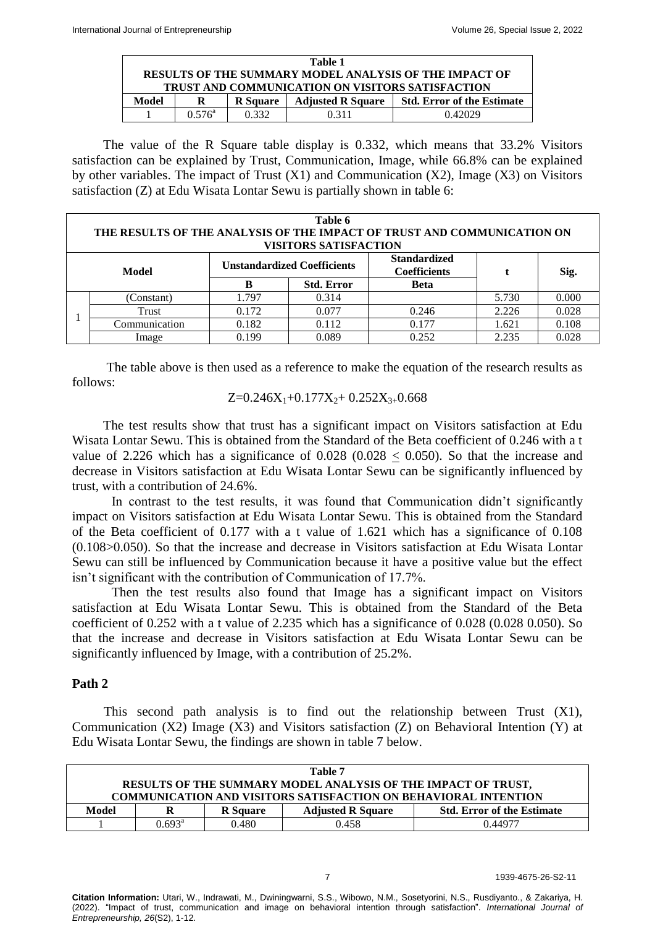|       | Table 1                                                       |                 |                          |                                   |  |  |  |
|-------|---------------------------------------------------------------|-----------------|--------------------------|-----------------------------------|--|--|--|
|       | <b>RESULTS OF THE SUMMARY MODEL ANALYSIS OF THE IMPACT OF</b> |                 |                          |                                   |  |  |  |
|       | <b>TRUST AND COMMUNICATION ON VISITORS SATISFACTION</b>       |                 |                          |                                   |  |  |  |
| Model |                                                               | <b>R</b> Square | <b>Adjusted R Square</b> | <b>Std. Error of the Estimate</b> |  |  |  |
|       | $0.576^{\circ}$                                               | 0.332           | 0.311                    | 0.42029                           |  |  |  |

The value of the R Square table display is 0.332, which means that 33.2% Visitors satisfaction can be explained by Trust, Communication, Image, while 66.8% can be explained by other variables. The impact of Trust (X1) and Communication (X2), Image (X3) on Visitors satisfaction (Z) at Edu Wisata Lontar Sewu is partially shown in table 6:

|       | Table 6<br>THE RESULTS OF THE ANALYSIS OF THE IMPACT OF TRUST AND COMMUNICATION ON<br><b>VISITORS SATISFACTION</b> |                                    |                   |                                            |       |       |  |  |
|-------|--------------------------------------------------------------------------------------------------------------------|------------------------------------|-------------------|--------------------------------------------|-------|-------|--|--|
| Model |                                                                                                                    | <b>Unstandardized Coefficients</b> |                   | <b>Standardized</b><br><b>Coefficients</b> |       | Sig.  |  |  |
|       |                                                                                                                    | B                                  | <b>Std. Error</b> | <b>Beta</b>                                |       |       |  |  |
|       | (Constant)                                                                                                         | 1.797                              | 0.314             |                                            | 5.730 | 0.000 |  |  |
|       | Trust                                                                                                              | 0.172                              | 0.077             | 0.246                                      | 2.226 | 0.028 |  |  |
|       | Communication                                                                                                      | 0.182                              | 0.112             | 0.177                                      | 1.621 | 0.108 |  |  |
|       | Image                                                                                                              | 0.199                              | 0.089             | 0.252                                      | 2.235 | 0.028 |  |  |

The table above is then used as a reference to make the equation of the research results as follows:

 $Z=0.246X_1+0.177X_2+0.252X_{3+}0.668$ 

The test results show that trust has a significant impact on Visitors satisfaction at Edu Wisata Lontar Sewu. This is obtained from the Standard of the Beta coefficient of 0.246 with a t value of 2.226 which has a significance of  $0.028$  ( $0.028 < 0.050$ ). So that the increase and decrease in Visitors satisfaction at Edu Wisata Lontar Sewu can be significantly influenced by trust, with a contribution of 24.6%.

In contrast to the test results, it was found that Communication didn't significantly impact on Visitors satisfaction at Edu Wisata Lontar Sewu. This is obtained from the Standard of the Beta coefficient of 0.177 with a t value of 1.621 which has a significance of 0.108 (0.108>0.050). So that the increase and decrease in Visitors satisfaction at Edu Wisata Lontar Sewu can still be influenced by Communication because it have a positive value but the effect isn't significant with the contribution of Communication of 17.7%.

Then the test results also found that Image has a significant impact on Visitors satisfaction at Edu Wisata Lontar Sewu. This is obtained from the Standard of the Beta coefficient of 0.252 with a t value of 2.235 which has a significance of 0.028 (0.028 0.050). So that the increase and decrease in Visitors satisfaction at Edu Wisata Lontar Sewu can be significantly influenced by Image, with a contribution of 25.2%.

## **Path 2**

This second path analysis is to find out the relationship between Trust (X1), Communication (X2) Image (X3) and Visitors satisfaction (Z) on Behavioral Intention (Y) at Edu Wisata Lontar Sewu, the findings are shown in table 7 below.

| Table 7                                                                |                                                                           |       |       |         |  |  |
|------------------------------------------------------------------------|---------------------------------------------------------------------------|-------|-------|---------|--|--|
| RESULTS OF THE SUMMARY MODEL ANALYSIS OF THE IMPACT OF TRUST,          |                                                                           |       |       |         |  |  |
| <b>COMMUNICATION AND VISITORS SATISFACTION ON BEHAVIORAL INTENTION</b> |                                                                           |       |       |         |  |  |
| Model                                                                  | <b>Std. Error of the Estimate</b><br><b>Adjusted R Square</b><br>R Square |       |       |         |  |  |
|                                                                        | $0.693^{\rm a}$                                                           | 0.480 | 0.458 | 0.44977 |  |  |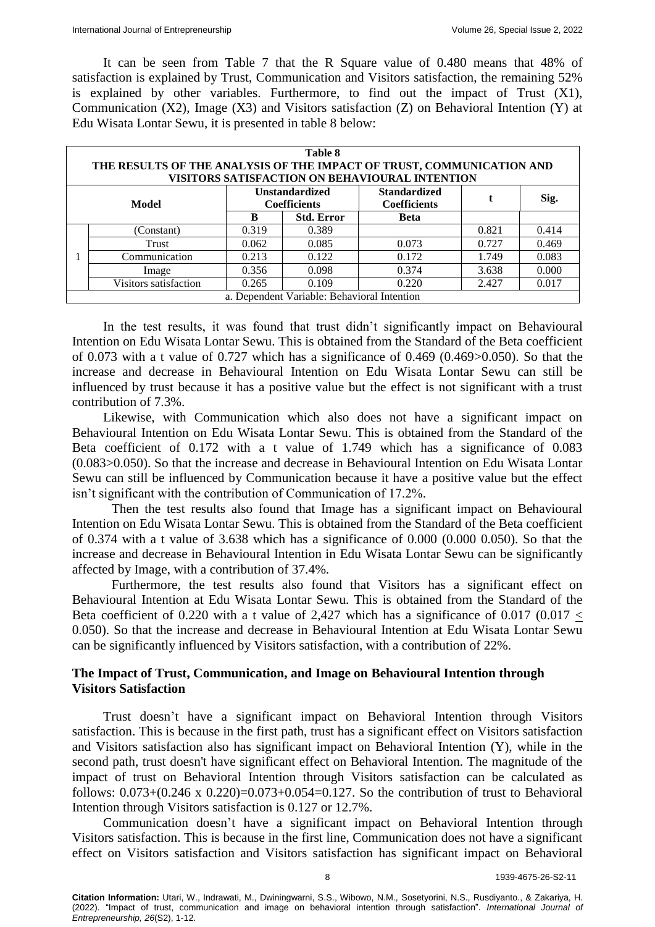It can be seen from Table 7 that the R Square value of 0.480 means that 48% of satisfaction is explained by Trust, Communication and Visitors satisfaction, the remaining 52% is explained by other variables. Furthermore, to find out the impact of Trust (X1), Communication (X2), Image (X3) and Visitors satisfaction (Z) on Behavioral Intention (Y) at Edu Wisata Lontar Sewu, it is presented in table 8 below:

|  | Table 8<br>THE RESULTS OF THE ANALYSIS OF THE IMPACT OF TRUST, COMMUNICATION AND<br>VISITORS SATISFACTION ON BEHAVIOURAL INTENTION |       |                   |             |       |       |  |  |
|--|------------------------------------------------------------------------------------------------------------------------------------|-------|-------------------|-------------|-------|-------|--|--|
|  | <b>Standardized</b><br><b>Unstandardized</b><br>Sig.<br><b>Coefficients</b><br><b>Coefficients</b><br>Model                        |       |                   |             |       |       |  |  |
|  |                                                                                                                                    | B     | <b>Std. Error</b> | <b>Beta</b> |       |       |  |  |
|  | (Constant)                                                                                                                         | 0.319 | 0.389             |             | 0.821 | 0.414 |  |  |
|  | Trust                                                                                                                              | 0.062 | 0.085             | 0.073       | 0.727 | 0.469 |  |  |
|  | Communication                                                                                                                      | 0.213 | 0.122             | 0.172       | 1.749 | 0.083 |  |  |
|  | Image                                                                                                                              | 0.356 | 0.098             | 0.374       | 3.638 | 0.000 |  |  |
|  | Visitors satisfaction                                                                                                              | 0.265 | 0.109             | 0.220       | 2.427 | 0.017 |  |  |
|  | a. Dependent Variable: Behavioral Intention                                                                                        |       |                   |             |       |       |  |  |

In the test results, it was found that trust didn't significantly impact on Behavioural Intention on Edu Wisata Lontar Sewu. This is obtained from the Standard of the Beta coefficient of 0.073 with a t value of 0.727 which has a significance of 0.469 (0.469>0.050). So that the increase and decrease in Behavioural Intention on Edu Wisata Lontar Sewu can still be influenced by trust because it has a positive value but the effect is not significant with a trust contribution of 7.3%.

Likewise, with Communication which also does not have a significant impact on Behavioural Intention on Edu Wisata Lontar Sewu. This is obtained from the Standard of the Beta coefficient of 0.172 with a t value of 1.749 which has a significance of 0.083 (0.083>0.050). So that the increase and decrease in Behavioural Intention on Edu Wisata Lontar Sewu can still be influenced by Communication because it have a positive value but the effect isn't significant with the contribution of Communication of 17.2%.

Then the test results also found that Image has a significant impact on Behavioural Intention on Edu Wisata Lontar Sewu. This is obtained from the Standard of the Beta coefficient of 0.374 with a t value of 3.638 which has a significance of 0.000 (0.000 0.050). So that the increase and decrease in Behavioural Intention in Edu Wisata Lontar Sewu can be significantly affected by Image, with a contribution of 37.4%.

Furthermore, the test results also found that Visitors has a significant effect on Behavioural Intention at Edu Wisata Lontar Sewu. This is obtained from the Standard of the Beta coefficient of 0.220 with a t value of 2,427 which has a significance of 0.017 (0.017 < 0.050). So that the increase and decrease in Behavioural Intention at Edu Wisata Lontar Sewu can be significantly influenced by Visitors satisfaction, with a contribution of 22%.

# **The Impact of Trust, Communication, and Image on Behavioural Intention through Visitors Satisfaction**

Trust doesn't have a significant impact on Behavioral Intention through Visitors satisfaction. This is because in the first path, trust has a significant effect on Visitors satisfaction and Visitors satisfaction also has significant impact on Behavioral Intention (Y), while in the second path, trust doesn't have significant effect on Behavioral Intention. The magnitude of the impact of trust on Behavioral Intention through Visitors satisfaction can be calculated as follows:  $0.073+(0.246 \times 0.220)=0.073+0.054=0.127$ . So the contribution of trust to Behavioral Intention through Visitors satisfaction is 0.127 or 12.7%.

Communication doesn't have a significant impact on Behavioral Intention through Visitors satisfaction. This is because in the first line, Communication does not have a significant effect on Visitors satisfaction and Visitors satisfaction has significant impact on Behavioral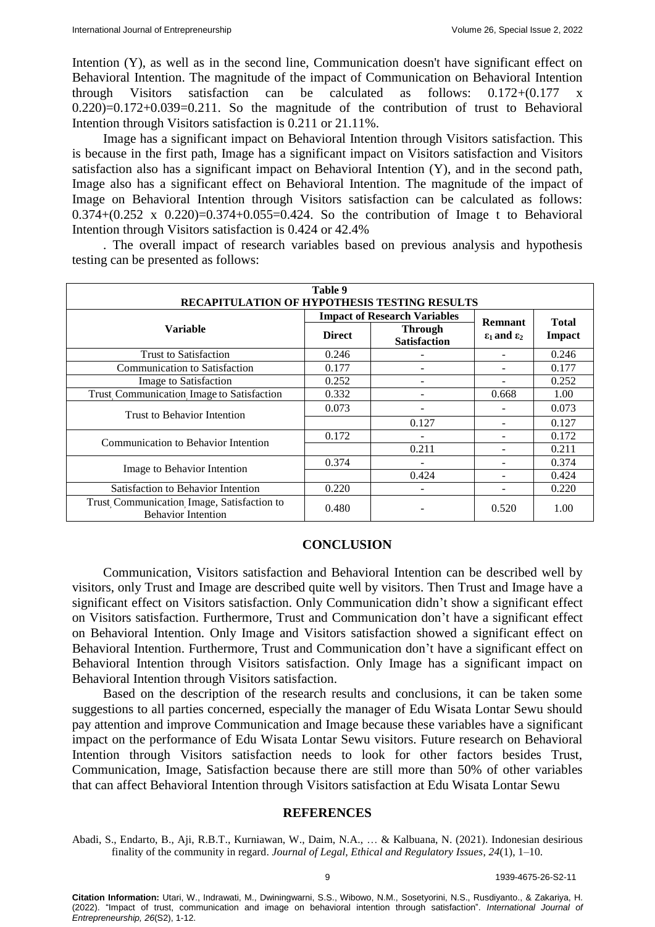Intention (Y), as well as in the second line, Communication doesn't have significant effect on Behavioral Intention. The magnitude of the impact of Communication on Behavioral Intention through Visitors satisfaction can be calculated as follows: 0.172+(0.177 x  $0.220$ = $0.172+0.039=0.211$ . So the magnitude of the contribution of trust to Behavioral Intention through Visitors satisfaction is 0.211 or 21.11%.

Image has a significant impact on Behavioral Intention through Visitors satisfaction. This is because in the first path, Image has a significant impact on Visitors satisfaction and Visitors satisfaction also has a significant impact on Behavioral Intention (Y), and in the second path, Image also has a significant effect on Behavioral Intention. The magnitude of the impact of Image on Behavioral Intention through Visitors satisfaction can be calculated as follows: 0.374+ $(0.252 \times 0.220) = 0.374 + 0.055 = 0.424$ . So the contribution of Image t to Behavioral Intention through Visitors satisfaction is 0.424 or 42.4%

| Table 9                                                                 |               |                                       |                               |              |  |  |
|-------------------------------------------------------------------------|---------------|---------------------------------------|-------------------------------|--------------|--|--|
| RECAPITULATION OF HYPOTHESIS TESTING RESULTS                            |               |                                       |                               |              |  |  |
|                                                                         |               | <b>Impact of Research Variables</b>   | <b>Remnant</b>                | <b>Total</b> |  |  |
| <b>Variable</b>                                                         | <b>Direct</b> | <b>Through</b><br><b>Satisfaction</b> | $\epsilon_1$ and $\epsilon_2$ | Impact       |  |  |
| <b>Trust to Satisfaction</b>                                            | 0.246         |                                       |                               | 0.246        |  |  |
| Communication to Satisfaction                                           | 0.177         |                                       |                               | 0.177        |  |  |
| Image to Satisfaction                                                   | 0.252         |                                       |                               | 0.252        |  |  |
| Trust Communication Image to Satisfaction                               | 0.332         |                                       | 0.668                         | 1.00         |  |  |
| Trust to Behavior Intention                                             | 0.073         | ۰                                     |                               | 0.073        |  |  |
|                                                                         |               | 0.127                                 |                               | 0.127        |  |  |
| Communication to Behavior Intention                                     | 0.172         |                                       |                               | 0.172        |  |  |
|                                                                         |               | 0.211                                 |                               | 0.211        |  |  |
|                                                                         | 0.374         |                                       |                               | 0.374        |  |  |
| Image to Behavior Intention                                             |               | 0.424                                 |                               | 0.424        |  |  |
| Satisfaction to Behavior Intention                                      | 0.220         |                                       |                               | 0.220        |  |  |
| Trust Communication Image, Satisfaction to<br><b>Behavior Intention</b> | 0.480         |                                       | 0.520                         | 1.00         |  |  |

. The overall impact of research variables based on previous analysis and hypothesis testing can be presented as follows:

## **CONCLUSION**

Communication, Visitors satisfaction and Behavioral Intention can be described well by visitors, only Trust and Image are described quite well by visitors. Then Trust and Image have a significant effect on Visitors satisfaction. Only Communication didn't show a significant effect on Visitors satisfaction. Furthermore, Trust and Communication don't have a significant effect on Behavioral Intention. Only Image and Visitors satisfaction showed a significant effect on Behavioral Intention. Furthermore, Trust and Communication don't have a significant effect on Behavioral Intention through Visitors satisfaction. Only Image has a significant impact on Behavioral Intention through Visitors satisfaction.

Based on the description of the research results and conclusions, it can be taken some suggestions to all parties concerned, especially the manager of Edu Wisata Lontar Sewu should pay attention and improve Communication and Image because these variables have a significant impact on the performance of Edu Wisata Lontar Sewu visitors. Future research on Behavioral Intention through Visitors satisfaction needs to look for other factors besides Trust, Communication, Image, Satisfaction because there are still more than 50% of other variables that can affect Behavioral Intention through Visitors satisfaction at Edu Wisata Lontar Sewu

## **REFERENCES**

Abadi, S., Endarto, B., Aji, R.B.T., Kurniawan, W., Daim, N.A., … & Kalbuana, N. (2021). Indonesian desirious finality of the community in regard. *Journal of Legal, Ethical and Regulatory Issues*, *24*(1), 1–10.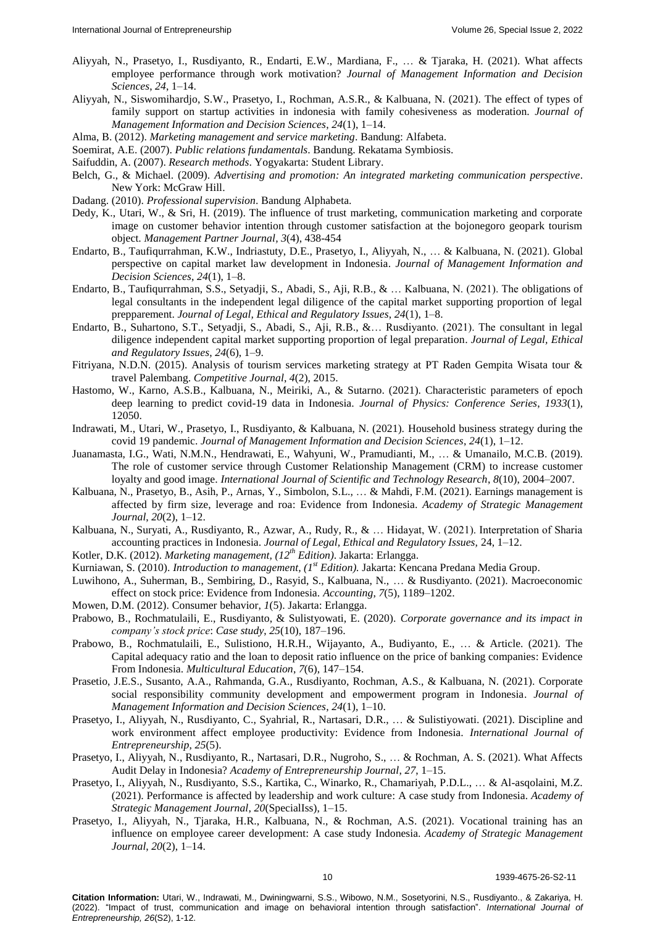- Aliyyah, N., Prasetyo, I., Rusdiyanto, R., Endarti, E.W., Mardiana, F., … & Tjaraka, H. (2021). What affects employee performance through work motivation? *Journal of Management Information and Decision Sciences*, *24*, 1–14.
- Aliyyah, N., Siswomihardjo, S.W., Prasetyo, I., Rochman, A.S.R., & Kalbuana, N. (2021). The effect of types of family support on startup activities in indonesia with family cohesiveness as moderation. *Journal of Management Information and Decision Sciences*, *24*(1), 1–14.
- Alma, B. (2012). *Marketing management and service marketing*. Bandung: Alfabeta.

Soemirat, A.E. (2007). *Public relations fundamentals*. Bandung. Rekatama Symbiosis.

- Saifuddin, A. (2007). *Research methods*. Yogyakarta: Student Library.
- Belch, G., & Michael. (2009). *Advertising and promotion: An integrated marketing communication perspective*. New York: McGraw Hill.
- Dadang. (2010). *Professional supervision*. Bandung Alphabeta.
- Dedy, K., Utari, W., & Sri, H. (2019). The influence of trust marketing, communication marketing and corporate image on customer behavior intention through customer satisfaction at the bojonegoro geopark tourism object. *Management Partner Journal, 3*(4), 438-454
- Endarto, B., Taufiqurrahman, K.W., Indriastuty, D.E., Prasetyo, I., Aliyyah, N., … & Kalbuana, N. (2021). Global perspective on capital market law development in Indonesia. *Journal of Management Information and Decision Sciences*, *24*(1), 1–8.
- Endarto, B., Taufiqurrahman, S.S., Setyadji, S., Abadi, S., Aji, R.B., & … Kalbuana, N. (2021). The obligations of legal consultants in the independent legal diligence of the capital market supporting proportion of legal prepparement. *Journal of Legal, Ethical and Regulatory Issues*, *24*(1), 1–8.
- Endarto, B., Suhartono, S.T., Setyadji, S., Abadi, S., Aji, R.B., &… Rusdiyanto. (2021). The consultant in legal diligence independent capital market supporting proportion of legal preparation. *Journal of Legal, Ethical and Regulatory Issues*, *24*(6), 1–9.
- Fitriyana, N.D.N. (2015). Analysis of tourism services marketing strategy at PT Raden Gempita Wisata tour & travel Palembang. *Competitive Journal*, *4*(2), 2015.
- Hastomo, W., Karno, A.S.B., Kalbuana, N., Meiriki, A., & Sutarno. (2021). Characteristic parameters of epoch deep learning to predict covid-19 data in Indonesia. *Journal of Physics: Conference Series*, *1933*(1), 12050.
- Indrawati, M., Utari, W., Prasetyo, I., Rusdiyanto, & Kalbuana, N. (2021). Household business strategy during the covid 19 pandemic. *Journal of Management Information and Decision Sciences*, *24*(1), 1–12.
- Juanamasta, I.G., Wati, N.M.N., Hendrawati, E., Wahyuni, W., Pramudianti, M., … & Umanailo, M.C.B. (2019). The role of customer service through Customer Relationship Management (CRM) to increase customer loyalty and good image. *International Journal of Scientific and Technology Research*, *8*(10), 2004–2007.
- Kalbuana, N., Prasetyo, B., Asih, P., Arnas, Y., Simbolon, S.L., … & Mahdi, F.M. (2021). Earnings management is affected by firm size, leverage and roa: Evidence from Indonesia. *Academy of Strategic Management Journal*, *20*(2), 1–12.
- Kalbuana, N., Suryati, A., Rusdiyanto, R., Azwar, A., Rudy, R., & … Hidayat, W. (2021). Interpretation of Sharia accounting practices in Indonesia. *Journal of Legal, Ethical and Regulatory Issues,* 24, 1–12.
- Kotler, D.K. (2012). *Marketing management, (12th Edition)*. Jakarta: Erlangga.
- Kurniawan, S. (2010). *Introduction to management, (1 st Edition).* Jakarta: Kencana Predana Media Group.
- Luwihono, A., Suherman, B., Sembiring, D., Rasyid, S., Kalbuana, N., … & Rusdiyanto. (2021). Macroeconomic effect on stock price: Evidence from Indonesia. *Accounting*, *7*(5), 1189–1202.
- Mowen, D.M. (2012). Consumer behavior, *1*(5). Jakarta: Erlangga.
- Prabowo, B., Rochmatulaili, E., Rusdiyanto, & Sulistyowati, E. (2020). *Corporate governance and its impact in company's stock price*: *Case study*, *25*(10), 187–196.
- Prabowo, B., Rochmatulaili, E., Sulistiono, H.R.H., Wijayanto, A., Budiyanto, E., … & Article. (2021). The Capital adequacy ratio and the loan to deposit ratio influence on the price of banking companies: Evidence From Indonesia. *Multicultural Education*, *7*(6), 147–154.
- Prasetio, J.E.S., Susanto, A.A., Rahmanda, G.A., Rusdiyanto, Rochman, A.S., & Kalbuana, N. (2021). Corporate social responsibility community development and empowerment program in Indonesia. *Journal of Management Information and Decision Sciences*, *24*(1), 1–10.
- Prasetyo, I., Aliyyah, N., Rusdiyanto, C., Syahrial, R., Nartasari, D.R., … & Sulistiyowati. (2021). Discipline and work environment affect employee productivity: Evidence from Indonesia. *International Journal of Entrepreneurship*, *25*(5).
- Prasetyo, I., Aliyyah, N., Rusdiyanto, R., Nartasari, D.R., Nugroho, S., … & Rochman, A. S. (2021). What Affects Audit Delay in Indonesia? *Academy of Entrepreneurship Journal*, *27*, 1–15.
- Prasetyo, I., Aliyyah, N., Rusdiyanto, S.S., Kartika, C., Winarko, R., Chamariyah, P.D.L., … & Al-asqolaini, M.Z. (2021). Performance is affected by leadership and work culture: A case study from Indonesia. *Academy of Strategic Management Journal*, *20*(SpecialIss), 1–15.
- Prasetyo, I., Aliyyah, N., Tjaraka, H.R., Kalbuana, N., & Rochman, A.S. (2021). Vocational training has an influence on employee career development: A case study Indonesia. *Academy of Strategic Management Journal*, *20*(2), 1–14.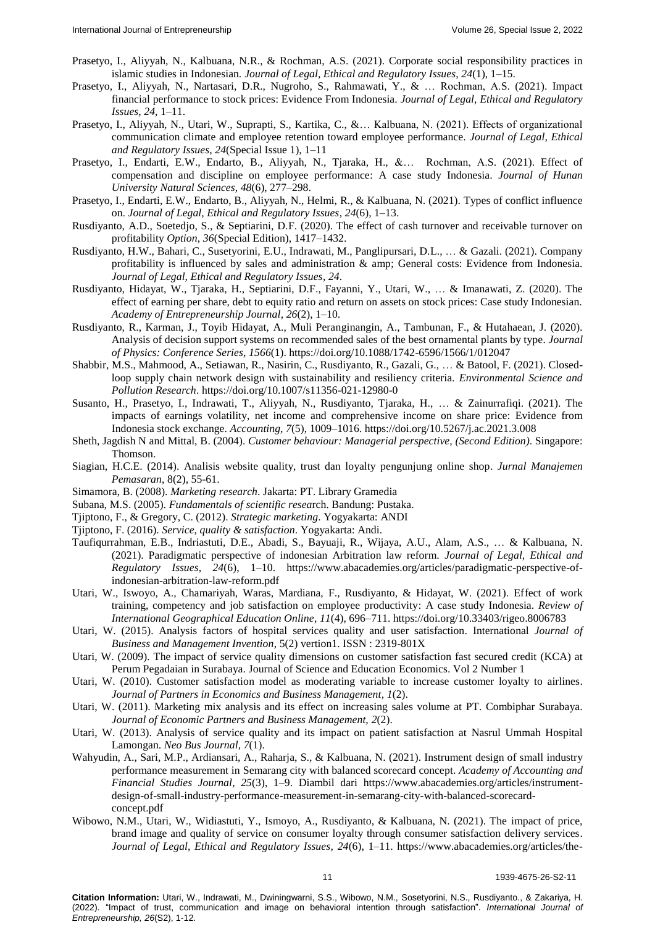- Prasetyo, I., Aliyyah, N., Kalbuana, N.R., & Rochman, A.S. (2021). Corporate social responsibility practices in islamic studies in Indonesian. *Journal of Legal, Ethical and Regulatory Issues*, *24*(1), 1–15.
- Prasetyo, I., Aliyyah, N., Nartasari, D.R., Nugroho, S., Rahmawati, Y., & … Rochman, A.S. (2021). Impact financial performance to stock prices: Evidence From Indonesia. *Journal of Legal, Ethical and Regulatory Issues*, *24*, 1–11.
- Prasetyo, I., Aliyyah, N., Utari, W., Suprapti, S., Kartika, C., &… Kalbuana, N. (2021). Effects of organizational communication climate and employee retention toward employee performance. *Journal of Legal, Ethical and Regulatory Issues*, *24*(Special Issue 1), 1–11
- Prasetyo, I., Endarti, E.W., Endarto, B., Aliyyah, N., Tjaraka, H., &… Rochman, A.S. (2021). Effect of compensation and discipline on employee performance: A case study Indonesia. *Journal of Hunan University Natural Sciences*, *48*(6), 277–298.
- Prasetyo, I., Endarti, E.W., Endarto, B., Aliyyah, N., Helmi, R., & Kalbuana, N. (2021). Types of conflict influence on. *Journal of Legal, Ethical and Regulatory Issues*, *24*(6), 1–13.
- Rusdiyanto, A.D., Soetedjo, S., & Septiarini, D.F. (2020). The effect of cash turnover and receivable turnover on profitability *Option*, *36*(Special Edition), 1417–1432.
- Rusdiyanto, H.W., Bahari, C., Susetyorini, E.U., Indrawati, M., Panglipursari, D.L., … & Gazali. (2021). Company profitability is influenced by sales and administration & amp; General costs: Evidence from Indonesia. *Journal of Legal, Ethical and Regulatory Issues*, *24*.
- Rusdiyanto, Hidayat, W., Tjaraka, H., Septiarini, D.F., Fayanni, Y., Utari, W., … & Imanawati, Z. (2020). The effect of earning per share, debt to equity ratio and return on assets on stock prices: Case study Indonesian. *Academy of Entrepreneurship Journal*, *26*(2), 1–10.
- Rusdiyanto, R., Karman, J., Toyib Hidayat, A., Muli Peranginangin, A., Tambunan, F., & Hutahaean, J. (2020). Analysis of decision support systems on recommended sales of the best ornamental plants by type. *Journal of Physics: Conference Series*, *1566*(1). https://doi.org/10.1088/1742-6596/1566/1/012047
- Shabbir, M.S., Mahmood, A., Setiawan, R., Nasirin, C., Rusdiyanto, R., Gazali, G., … & Batool, F. (2021). Closedloop supply chain network design with sustainability and resiliency criteria. *Environmental Science and Pollution Research*. https://doi.org/10.1007/s11356-021-12980-0
- Susanto, H., Prasetyo, I., Indrawati, T., Aliyyah, N., Rusdiyanto, Tjaraka, H., … & Zainurrafiqi. (2021). The impacts of earnings volatility, net income and comprehensive income on share price: Evidence from Indonesia stock exchange. *Accounting*, *7*(5), 1009–1016. https://doi.org/10.5267/j.ac.2021.3.008
- Sheth, Jagdish N and Mittal, B. (2004). *Customer behaviour: Managerial perspective, (Second Edition)*. Singapore: Thomson.
- Siagian, H.C.E. (2014). Analisis website quality, trust dan loyalty pengunjung online shop. *Jurnal Manajemen Pemasaran*, 8(2), 55-61.
- Simamora, B. (2008). *Marketing research*. Jakarta: PT. Library Gramedia
- Subana, M.S. (2005). *Fundamentals of scientific resea*rch. Bandung: Pustaka.
- Tjiptono, F., & Gregory, C. (2012). *Strategic marketing*. Yogyakarta: ANDI
- Tjiptono, F. (2016). *Service, quality & satisfaction*. Yogyakarta: Andi.
- Taufiqurrahman, E.B., Indriastuti, D.E., Abadi, S., Bayuaji, R., Wijaya, A.U., Alam, A.S., … & Kalbuana, N. (2021). Paradigmatic perspective of indonesian Arbitration law reform. *Journal of Legal, Ethical and Regulatory Issues*, *24*(6), 1–10. https://www.abacademies.org/articles/paradigmatic-perspective-ofindonesian-arbitration-law-reform.pdf
- Utari, W., Iswoyo, A., Chamariyah, Waras, Mardiana, F., Rusdiyanto, & Hidayat, W. (2021). Effect of work training, competency and job satisfaction on employee productivity: A case study Indonesia. *Review of International Geographical Education Online*, *11*(4), 696–711. https://doi.org/10.33403/rigeo.8006783
- Utari, W. (2015). Analysis factors of hospital services quality and user satisfaction. International *Journal of Business and Management Invention*, 5(2) vertion1. ISSN : 2319-801X
- Utari, W. (2009). The impact of service quality dimensions on customer satisfaction fast secured credit (KCA) at Perum Pegadaian in Surabaya. Journal of Science and Education Economics. Vol 2 Number 1
- Utari, W. (2010). Customer satisfaction model as moderating variable to increase customer loyalty to airlines. *Journal of Partners in Economics and Business Management, 1*(2).
- Utari, W. (2011). Marketing mix analysis and its effect on increasing sales volume at PT. Combiphar Surabaya. *Journal of Economic Partners and Business Management, 2*(2).
- Utari, W. (2013). Analysis of service quality and its impact on patient satisfaction at Nasrul Ummah Hospital Lamongan. *Neo Bus Journal, 7*(1).
- Wahyudin, A., Sari, M.P., Ardiansari, A., Raharja, S., & Kalbuana, N. (2021). Instrument design of small industry performance measurement in Semarang city with balanced scorecard concept. *Academy of Accounting and Financial Studies Journal*, *25*(3), 1–9. Diambil dari https://www.abacademies.org/articles/instrumentdesign-of-small-industry-performance-measurement-in-semarang-city-with-balanced-scorecardconcept.pdf
- Wibowo, N.M., Utari, W., Widiastuti, Y., Ismoyo, A., Rusdiyanto, & Kalbuana, N. (2021). The impact of price, brand image and quality of service on consumer loyalty through consumer satisfaction delivery services. *Journal of Legal, Ethical and Regulatory Issues*, *24*(6), 1–11. https://www.abacademies.org/articles/the-